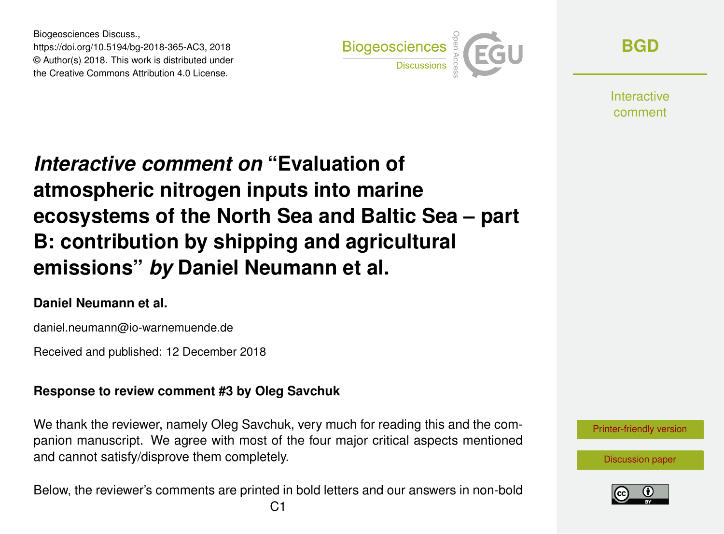Biogeosciences Discuss., https://doi.org/10.5194/bg-2018-365-AC3, 2018 © Author(s) 2018. This work is distributed under the Creative Commons Attribution 4.0 License.



**[BGD](https://www.biogeosciences-discuss.net/)**

**Interactive** comment

# *Interactive comment on* **"Evaluation of atmospheric nitrogen inputs into marine ecosystems of the North Sea and Baltic Sea – part B: contribution by shipping and agricultural emissions"** *by* **Daniel Neumann et al.**

#### **Daniel Neumann et al.**

daniel.neumann@io-warnemuende.de

Received and published: 12 December 2018

#### **Response to review comment #3 by Oleg Savchuk**

We thank the reviewer, namely Oleg Savchuk, very much for reading this and the companion manuscript. We agree with most of the four major critical aspects mentioned and cannot satisfy/disprove them completely.

Below, the reviewer's comments are printed in bold letters and our answers in non-bold

[Printer-friendly version](https://www.biogeosciences-discuss.net/bg-2018-365/bg-2018-365-AC3-print.pdf)

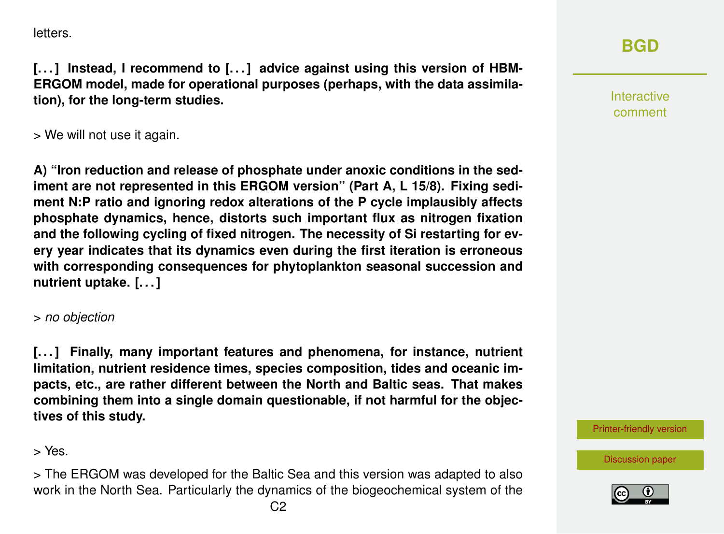letters.

[...] Instead, I recommend to [...] advice against using this version of HBM-**ERGOM model, made for operational purposes (perhaps, with the data assimilation), for the long-term studies.**

> We will not use it again.

**A) "Iron reduction and release of phosphate under anoxic conditions in the sediment are not represented in this ERGOM version" (Part A, L 15/8). Fixing sediment N:P ratio and ignoring redox alterations of the P cycle implausibly affects phosphate dynamics, hence, distorts such important flux as nitrogen fixation and the following cycling of fixed nitrogen. The necessity of Si restarting for every year indicates that its dynamics even during the first iteration is erroneous with corresponding consequences for phytoplankton seasonal succession and nutrient uptake. [. . . ]**

> *no objection*

**[. . . ] Finally, many important features and phenomena, for instance, nutrient limitation, nutrient residence times, species composition, tides and oceanic impacts, etc., are rather different between the North and Baltic seas. That makes combining them into a single domain questionable, if not harmful for the objectives of this study.**

> Yes.

> The ERGOM was developed for the Baltic Sea and this version was adapted to also work in the North Sea. Particularly the dynamics of the biogeochemical system of the



## **[BGD](https://www.biogeosciences-discuss.net/)**

Interactive comment

[Printer-friendly version](https://www.biogeosciences-discuss.net/bg-2018-365/bg-2018-365-AC3-print.pdf)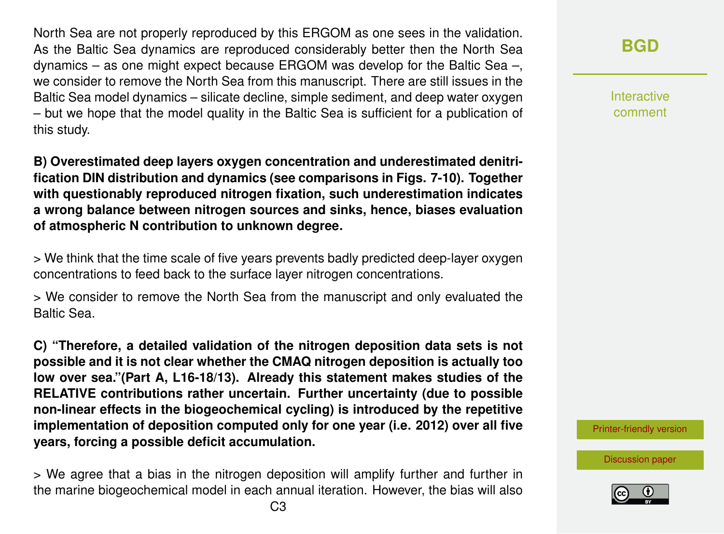North Sea are not properly reproduced by this ERGOM as one sees in the validation. As the Baltic Sea dynamics are reproduced considerably better then the North Sea dynamics – as one might expect because ERGOM was develop for the Baltic Sea –, we consider to remove the North Sea from this manuscript. There are still issues in the Baltic Sea model dynamics – silicate decline, simple sediment, and deep water oxygen – but we hope that the model quality in the Baltic Sea is sufficient for a publication of this study.

**B) Overestimated deep layers oxygen concentration and underestimated denitrification DIN distribution and dynamics (see comparisons in Figs. 7-10). Together with questionably reproduced nitrogen fixation, such underestimation indicates a wrong balance between nitrogen sources and sinks, hence, biases evaluation of atmospheric N contribution to unknown degree.**

> We think that the time scale of five years prevents badly predicted deep-layer oxygen concentrations to feed back to the surface layer nitrogen concentrations.

> We consider to remove the North Sea from the manuscript and only evaluated the Baltic Sea.

**C) "Therefore, a detailed validation of the nitrogen deposition data sets is not possible and it is not clear whether the CMAQ nitrogen deposition is actually too low over sea."(Part A, L16-18/13). Already this statement makes studies of the RELATIVE contributions rather uncertain. Further uncertainty (due to possible non-linear effects in the biogeochemical cycling) is introduced by the repetitive implementation of deposition computed only for one year (i.e. 2012) over all five years, forcing a possible deficit accumulation.**

> We agree that a bias in the nitrogen deposition will amplify further and further in the marine biogeochemical model in each annual iteration. However, the bias will also **[BGD](https://www.biogeosciences-discuss.net/)**

Interactive comment

[Printer-friendly version](https://www.biogeosciences-discuss.net/bg-2018-365/bg-2018-365-AC3-print.pdf)

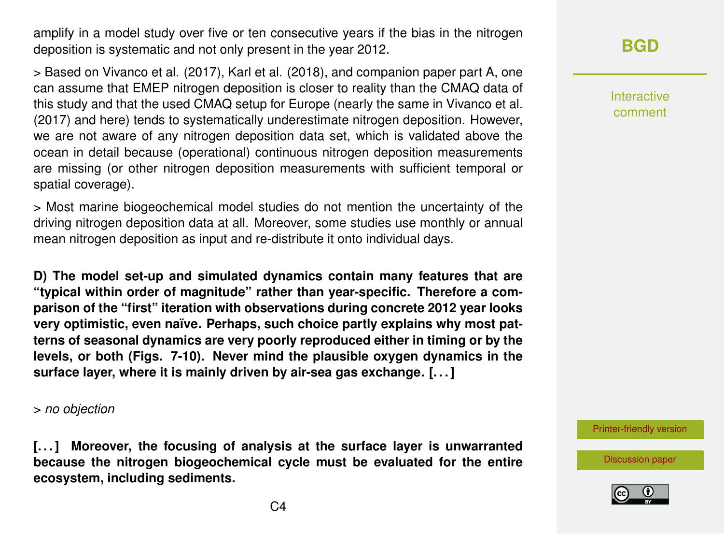amplify in a model study over five or ten consecutive years if the bias in the nitrogen deposition is systematic and not only present in the year 2012.

> Based on Vivanco et al. (2017), Karl et al. (2018), and companion paper part A, one can assume that EMEP nitrogen deposition is closer to reality than the CMAQ data of this study and that the used CMAQ setup for Europe (nearly the same in Vivanco et al. (2017) and here) tends to systematically underestimate nitrogen deposition. However, we are not aware of any nitrogen deposition data set, which is validated above the ocean in detail because (operational) continuous nitrogen deposition measurements are missing (or other nitrogen deposition measurements with sufficient temporal or spatial coverage).

> Most marine biogeochemical model studies do not mention the uncertainty of the driving nitrogen deposition data at all. Moreover, some studies use monthly or annual mean nitrogen deposition as input and re-distribute it onto individual days.

**D) The model set-up and simulated dynamics contain many features that are "typical within order of magnitude" rather than year-specific. Therefore a comparison of the "first" iteration with observations during concrete 2012 year looks very optimistic, even naïve. Perhaps, such choice partly explains why most patterns of seasonal dynamics are very poorly reproduced either in timing or by the levels, or both (Figs. 7-10). Never mind the plausible oxygen dynamics in the surface layer, where it is mainly driven by air-sea gas exchange. [. . . ]**

> *no objection*

**[. . . ] Moreover, the focusing of analysis at the surface layer is unwarranted because the nitrogen biogeochemical cycle must be evaluated for the entire ecosystem, including sediments.**

### **[BGD](https://www.biogeosciences-discuss.net/)**

Interactive comment

[Printer-friendly version](https://www.biogeosciences-discuss.net/bg-2018-365/bg-2018-365-AC3-print.pdf)